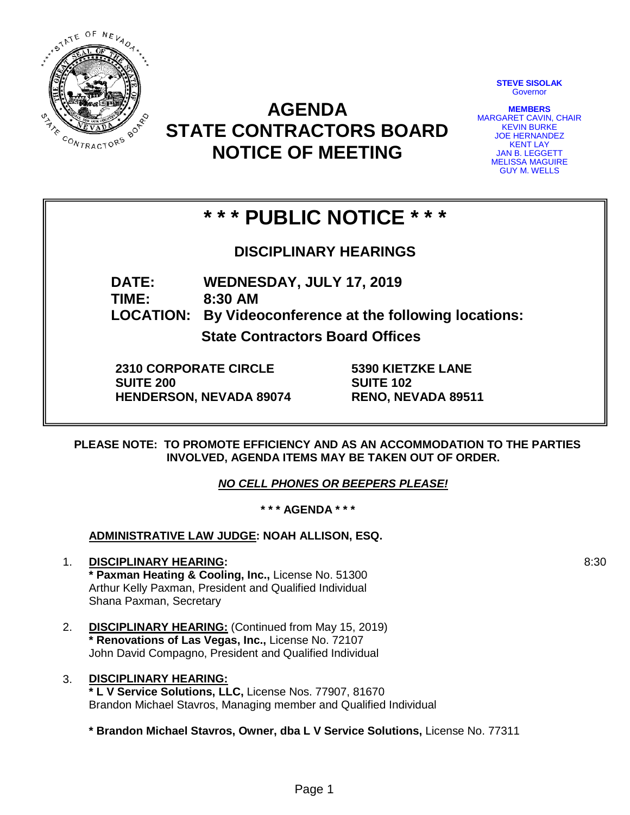

**AGENDA STATE CONTRACTORS BOARD NOTICE OF MEETING**

**STEVE SISOLAK Governor** 

**MEMBERS** MARGARET CAVIN, CHAIR KEVIN BURKE JOE HERNANDEZ KENT LAY JAN B. LEGGETT MELISSA MAGUIRE GUY M. WELLS

# **\* \* \* PUBLIC NOTICE \* \* \***

**DISCIPLINARY HEARINGS**

**DATE: WEDNESDAY, JULY 17, 2019 TIME: 8:30 AM**

**LOCATION: By Videoconference at the following locations:**

**State Contractors Board Offices**

**2310 CORPORATE CIRCLE SUITE 200 HENDERSON, NEVADA 89074** **5390 KIETZKE LANE SUITE 102 RENO, NEVADA 89511**

**PLEASE NOTE: TO PROMOTE EFFICIENCY AND AS AN ACCOMMODATION TO THE PARTIES INVOLVED, AGENDA ITEMS MAY BE TAKEN OUT OF ORDER.**

*NO CELL PHONES OR BEEPERS PLEASE!* 

**\* \* \* AGENDA \* \* \***

**ADMINISTRATIVE LAW JUDGE: NOAH ALLISON, ESQ.** 

- 1. **DISCIPLINARY HEARING: \* Paxman Heating & Cooling, Inc.,** License No. 51300 Arthur Kelly Paxman, President and Qualified Individual Shana Paxman, Secretary
- 2. **DISCIPLINARY HEARING:** (Continued from May 15, 2019) **\* Renovations of Las Vegas, Inc.,** License No. 72107 John David Compagno, President and Qualified Individual
- 3. **DISCIPLINARY HEARING: \* L V Service Solutions, LLC,** License Nos. 77907, 81670 Brandon Michael Stavros, Managing member and Qualified Individual

**\* Brandon Michael Stavros, Owner, dba L V Service Solutions,** License No. 77311

8:30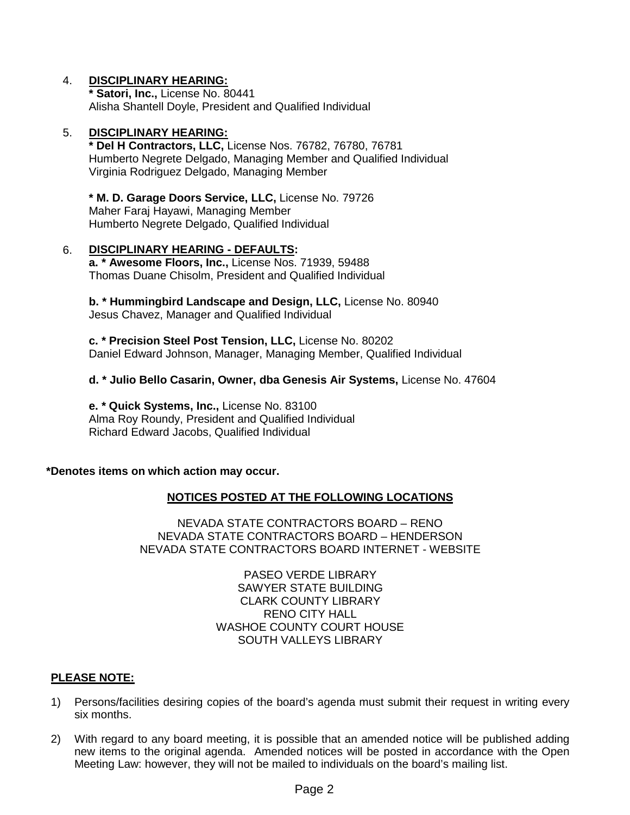## 4. **DISCIPLINARY HEARING:**

**\* Satori, Inc.,** License No. 80441 Alisha Shantell Doyle, President and Qualified Individual

#### 5. **DISCIPLINARY HEARING:**

**\* Del H Contractors, LLC,** License Nos. 76782, 76780, 76781 Humberto Negrete Delgado, Managing Member and Qualified Individual Virginia Rodriguez Delgado, Managing Member

**\* M. D. Garage Doors Service, LLC,** License No. 79726 Maher Faraj Hayawi, Managing Member Humberto Negrete Delgado, Qualified Individual

## 6. **DISCIPLINARY HEARING - DEFAULTS:**

**a. \* Awesome Floors, Inc.,** License Nos. 71939, 59488 Thomas Duane Chisolm, President and Qualified Individual

**b. \* Hummingbird Landscape and Design, LLC,** License No. 80940 Jesus Chavez, Manager and Qualified Individual

**c. \* Precision Steel Post Tension, LLC,** License No. 80202 Daniel Edward Johnson, Manager, Managing Member, Qualified Individual

### **d. \* Julio Bello Casarin, Owner, dba Genesis Air Systems,** License No. 47604

**e. \* Quick Systems, Inc.,** License No. 83100 Alma Roy Roundy, President and Qualified Individual Richard Edward Jacobs, Qualified Individual

## **\*Denotes items on which action may occur.**

## **NOTICES POSTED AT THE FOLLOWING LOCATIONS**

NEVADA STATE CONTRACTORS BOARD – RENO NEVADA STATE CONTRACTORS BOARD – HENDERSON NEVADA STATE CONTRACTORS BOARD INTERNET - WEBSITE

> PASEO VERDE LIBRARY SAWYER STATE BUILDING CLARK COUNTY LIBRARY RENO CITY HALL WASHOE COUNTY COURT HOUSE SOUTH VALLEYS LIBRARY

#### **PLEASE NOTE:**

- 1) Persons/facilities desiring copies of the board's agenda must submit their request in writing every six months.
- 2) With regard to any board meeting, it is possible that an amended notice will be published adding new items to the original agenda. Amended notices will be posted in accordance with the Open Meeting Law: however, they will not be mailed to individuals on the board's mailing list.